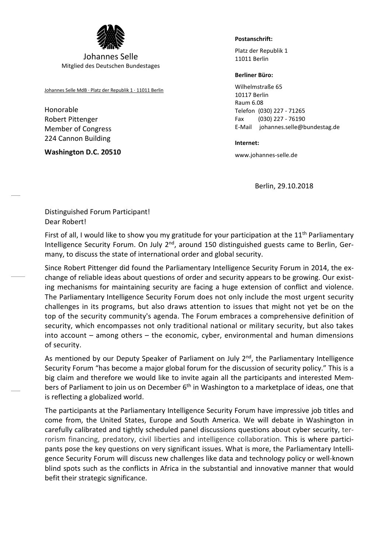

Johannes Selle Mitglied des Deutschen Bundestages

Johannes Selle MdB · Platz der Republik 1 · 11011 Berlin

Honorable Robert Pittenger Member of Congress 224 Cannon Building

**Washington D.C. 20510**

## **Postanschrift:**

Platz der Republik 1 11011 Berlin

## **Berliner Büro:**

Wilhelmstraße 65 10117 Berlin Raum 6.08 Telefon (030) 227 - 71265 Fax (030) 227 - 76190 E-Mail johannes.selle@bundestag.de

**Internet:**

www.johannes-selle.de

Berlin, 29.10.2018

Distinguished Forum Participant! Dear Robert!

First of all, I would like to show you my gratitude for your participation at the 11<sup>th</sup> Parliamentary Intelligence Security Forum. On July 2<sup>nd</sup>, around 150 distinguished guests came to Berlin, Germany, to discuss the state of international order and global security.

Since Robert Pittenger did found the Parliamentary Intelligence Security Forum in 2014, the exchange of reliable ideas about questions of order and security appears to be growing. Our existing mechanisms for maintaining security are facing a huge extension of conflict and violence. The Parliamentary Intelligence Security Forum does not only include the most urgent security challenges in its programs, but also draws attention to issues that might not yet be on the top of the security community's agenda. The Forum embraces a comprehensive definition of security, which encompasses not only traditional national or military security, but also takes into account – among others – the economic, cyber, environmental and human dimensions of security.

As mentioned by our Deputy Speaker of Parliament on July  $2^{nd}$ , the Parliamentary Intelligence Security Forum "has become a major global forum for the discussion of security policy." This is a big claim and therefore we would like to invite again all the participants and interested Members of Parliament to join us on December 6<sup>th</sup> in Washington to a marketplace of ideas, one that is reflecting a globalized world.

The participants at the Parliamentary Intelligence Security Forum have impressive job titles and come from, the United States, Europe and South America. We will debate in Washington in carefully calibrated and tightly scheduled panel discussions questions about cyber security, terrorism financing, predatory, civil liberties and intelligence collaboration. This is where participants pose the key questions on very significant issues. What is more, the Parliamentary Intelligence Security Forum will discuss new challenges like data and technology policy or well-known blind spots such as the conflicts in Africa in the substantial and innovative manner that would befit their strategic significance.